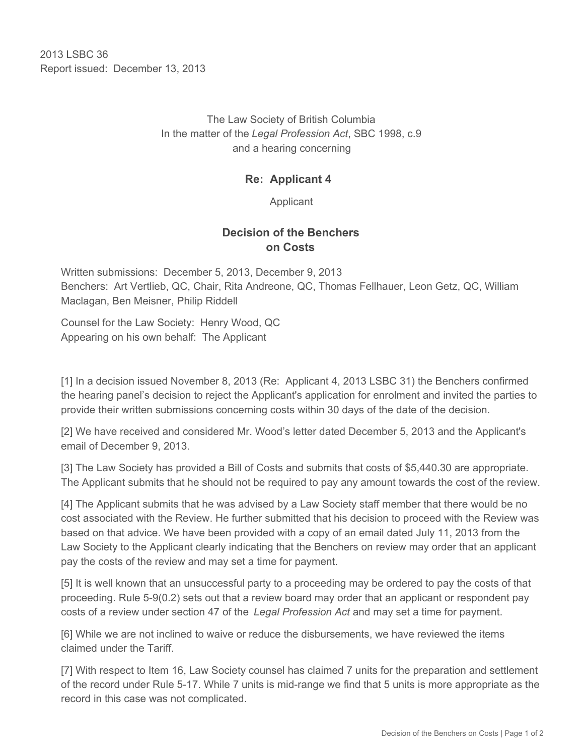2013 LSBC 36 Report issued: December 13, 2013

> The Law Society of British Columbia In the matter of the *Legal Profession Act*, SBC 1998, c.9 and a hearing concerning

## **Re: Applicant 4**

Applicant

## **Decision of the Benchers on Costs**

Written submissions: December 5, 2013, December 9, 2013 Benchers: Art Vertlieb, QC, Chair, Rita Andreone, QC, Thomas Fellhauer, Leon Getz, QC, William Maclagan, Ben Meisner, Philip Riddell

Counsel for the Law Society: Henry Wood, QC Appearing on his own behalf: The Applicant

[1] In a decision issued November 8, 2013 (Re: Applicant 4, 2013 LSBC 31) the Benchers confirmed the hearing panel's decision to reject the Applicant's application for enrolment and invited the parties to provide their written submissions concerning costs within 30 days of the date of the decision.

[2] We have received and considered Mr. Wood's letter dated December 5, 2013 and the Applicant's email of December 9, 2013.

[3] The Law Society has provided a Bill of Costs and submits that costs of \$5,440.30 are appropriate. The Applicant submits that he should not be required to pay any amount towards the cost of the review.

[4] The Applicant submits that he was advised by a Law Society staff member that there would be no cost associated with the Review. He further submitted that his decision to proceed with the Review was based on that advice. We have been provided with a copy of an email dated July 11, 2013 from the Law Society to the Applicant clearly indicating that the Benchers on review may order that an applicant pay the costs of the review and may set a time for payment.

[5] It is well known that an unsuccessful party to a proceeding may be ordered to pay the costs of that proceeding. Rule 5-9(0.2) sets out that a review board may order that an applicant or respondent pay costs of a review under section 47 of the *Legal Profession Act* and may set a time for payment.

[6] While we are not inclined to waive or reduce the disbursements, we have reviewed the items claimed under the Tariff.

[7] With respect to Item 16, Law Society counsel has claimed 7 units for the preparation and settlement of the record under Rule 5-17. While 7 units is mid-range we find that 5 units is more appropriate as the record in this case was not complicated.